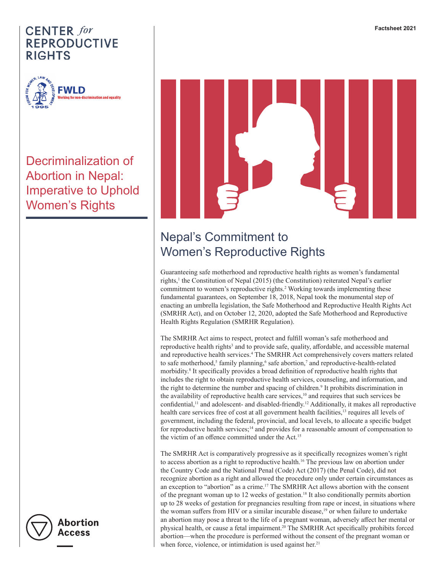

Decriminalization of Abortion in Nepal: Imperative to Uphold Women's Rights



# Nepal's Commitment to Women's Reproductive Rights

Guaranteeing safe motherhood and reproductive health rights as women's fundamental rights,<sup>1</sup> the Constitution of Nepal (2015) (the Constitution) reiterated Nepal's earlier commitment to women's reproductive rights.<sup>2</sup> Working towards implementing these fundamental guarantees, on September 18, 2018, Nepal took the monumental step of enacting an umbrella legislation, the Safe Motherhood and Reproductive Health Rights Act (SMRHR Act), and on October 12, 2020, adopted the Safe Motherhood and Reproductive Health Rights Regulation (SMRHR Regulation).

The SMRHR Act aims to respect, protect and fulfill woman's safe motherhood and reproductive health rights<sup>3</sup> and to provide safe, quality, affordable, and accessible maternal and reproductive health services.<sup>4</sup> The SMRHR Act comprehensively covers matters related to safe motherhood,<sup>5</sup> family planning,<sup>6</sup> safe abortion,<sup>7</sup> and reproductive-health-related morbidity.8 It specifically provides a broad definition of reproductive health rights that includes the right to obtain reproductive health services, counseling, and information, and the right to determine the number and spacing of children.<sup>9</sup> It prohibits discrimination in the availability of reproductive health care services,<sup>10</sup> and requires that such services be confidential,<sup>11</sup> and adolescent- and disabled-friendly.<sup>12</sup> Additionally, it makes all reproductive health care services free of cost at all government health facilities,<sup>13</sup> requires all levels of government, including the federal, provincial, and local levels, to allocate a specific budget for reproductive health services;<sup>14</sup> and provides for a reasonable amount of compensation to the victim of an offence committed under the Act.<sup>15</sup>

The SMRHR Act is comparatively progressive as it specifically recognizes women's right to access abortion as a right to reproductive health.16 The previous law on abortion under the Country Code and the National Penal (Code) Act (2017) (the Penal Code), did not recognize abortion as a right and allowed the procedure only under certain circumstances as an exception to "abortion" as a crime.<sup>17</sup> The SMRHR Act allows abortion with the consent of the pregnant woman up to 12 weeks of gestation.18 It also conditionally permits abortion up to 28 weeks of gestation for pregnancies resulting from rape or incest, in situations where the woman suffers from HIV or a similar incurable disease, $^{19}$  or when failure to undertake an abortion may pose a threat to the life of a pregnant woman, adversely affect her mental or physical health, or cause a fetal impairment.20 The SMRHR Act specifically prohibits forced abortion—when the procedure is performed without the consent of the pregnant woman or when force, violence, or intimidation is used against her.<sup>21</sup>



**Abortion** Access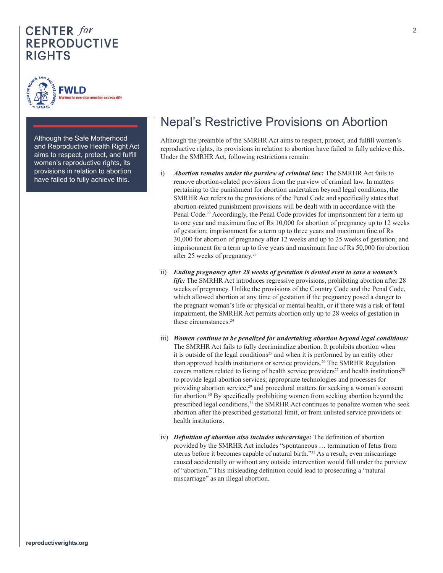

Although the Safe Motherhood and Reproductive Health Right Act aims to respect, protect, and fulfill women's reproductive rights, its provisions in relation to abortion have failed to fully achieve this.

# Nepal's Restrictive Provisions on Abortion

Although the preamble of the SMRHR Act aims to respect, protect, and fulfill women's reproductive rights, its provisions in relation to abortion have failed to fully achieve this. Under the SMRHR Act, following restrictions remain:

- i) *Abortion remains under the purview of criminal law:* The SMRHR Act fails to remove abortion-related provisions from the purview of criminal law. In matters pertaining to the punishment for abortion undertaken beyond legal conditions, the SMRHR Act refers to the provisions of the Penal Code and specifically states that abortion-related punishment provisions will be dealt with in accordance with the Penal Code.<sup>22</sup> Accordingly, the Penal Code provides for imprisonment for a term up to one year and maximum fine of Rs 10,000 for abortion of pregnancy up to 12 weeks of gestation; imprisonment for a term up to three years and maximum fine of Rs 30,000 for abortion of pregnancy after 12 weeks and up to 25 weeks of gestation; and imprisonment for a term up to five years and maximum fine of Rs 50,000 for abortion after 25 weeks of pregnancy.23
- ii) *Ending pregnancy after 28 weeks of gestation is denied even to save a woman's life:* The SMRHR Act introduces regressive provisions, prohibiting abortion after 28 weeks of pregnancy. Unlike the provisions of the Country Code and the Penal Code, which allowed abortion at any time of gestation if the pregnancy posed a danger to the pregnant woman's life or physical or mental health, or if there was a risk of fetal impairment, the SMRHR Act permits abortion only up to 28 weeks of gestation in these circumstances.<sup>24</sup>
- iii) *Women continue to be penalized for undertaking abortion beyond legal conditions:* The SMRHR Act fails to fully decriminalize abortion. It prohibits abortion when it is outside of the legal conditions<sup>25</sup> and when it is performed by an entity other than approved health institutions or service providers.26 The SMRHR Regulation covers matters related to listing of health service providers<sup>27</sup> and health institutions<sup>28</sup> to provide legal abortion services; appropriate technologies and processes for providing abortion service;<sup>29</sup> and procedural matters for seeking a woman's consent for abortion.30 By specifically prohibiting women from seeking abortion beyond the prescribed legal conditions,<sup>31</sup> the SMRHR Act continues to penalize women who seek abortion after the prescribed gestational limit, or from unlisted service providers or health institutions.
- iv) *Definition of abortion also includes miscarriage:* The definition of abortion provided by the SMRHR Act includes "spontaneous … termination of fetus from uterus before it becomes capable of natural birth."32 As a result, even miscarriage caused accidentally or without any outside intervention would fall under the purview of "abortion." This misleading definition could lead to prosecuting a "natural miscarriage" as an illegal abortion.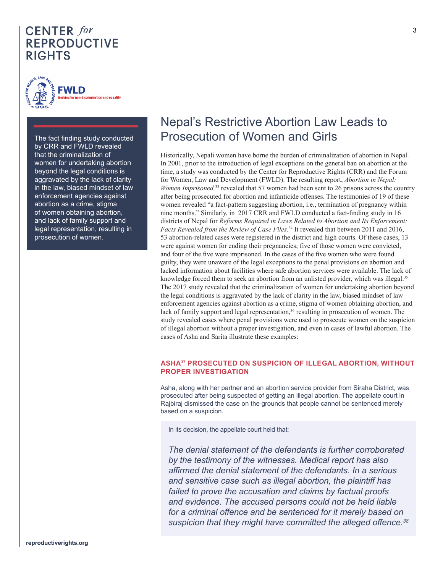

The fact finding study conducted by CRR and FWLD revealed that the criminalization of women for undertaking abortion beyond the legal conditions is aggravated by the lack of clarity in the law, biased mindset of law enforcement agencies against abortion as a crime, stigma of women obtaining abortion, and lack of family support and legal representation, resulting in prosecution of women.

## Nepal's Restrictive Abortion Law Leads to Prosecution of Women and Girls

Historically, Nepali women have borne the burden of criminalization of abortion in Nepal. In 2001, prior to the introduction of legal exceptions on the general ban on abortion at the time, a study was conducted by the Center for Reproductive Rights (CRR) and the Forum for Women, Law and Development (FWLD). The resulting report, *Abortion in Nepal: Women Imprisoned*,<sup>33</sup> revealed that 57 women had been sent to 26 prisons across the country after being prosecuted for abortion and infanticide offenses. The testimonies of 19 of these women revealed "a fact-pattern suggesting abortion, i.e., termination of pregnancy within nine months." Similarly, in 2017 CRR and FWLD conducted a fact-finding study in 16 districts of Nepal for *Reforms Required in Laws Related to Abortion and Its Enforcement: Facts Revealed from the Review of Case Files.*34 It revealed that between 2011 and 2016, 53 abortion-related cases were registered in the district and high courts. Of these cases, 13 were against women for ending their pregnancies; five of those women were convicted, and four of the five were imprisoned. In the cases of the five women who were found guilty, they were unaware of the legal exceptions to the penal provisions on abortion and lacked information about facilities where safe abortion services were available. The lack of knowledge forced them to seek an abortion from an unlisted provider, which was illegal.<sup>35</sup> The 2017 study revealed that the criminalization of women for undertaking abortion beyond the legal conditions is aggravated by the lack of clarity in the law, biased mindset of law enforcement agencies against abortion as a crime, stigma of women obtaining abortion, and lack of family support and legal representation,<sup>36</sup> resulting in prosecution of women. The study revealed cases where penal provisions were used to prosecute women on the suspicion of illegal abortion without a proper investigation, and even in cases of lawful abortion. The cases of Asha and Sarita illustrate these examples:

#### **ASHA37 PROSECUTED ON SUSPICION OF ILLEGAL ABORTION, WITHOUT PROPER INVESTIGATION**

Asha, along with her partner and an abortion service provider from Siraha District, was prosecuted after being suspected of getting an illegal abortion. The appellate court in Rajbiraj dismissed the case on the grounds that people cannot be sentenced merely based on a suspicion.

In its decision, the appellate court held that:

*The denial statement of the defendants is further corroborated by the testimony of the witnesses. Medical report has also affirmed the denial statement of the defendants. In a serious and sensitive case such as illegal abortion, the plaintiff has failed to prove the accusation and claims by factual proofs and evidence. The accused persons could not be held liable for a criminal offence and be sentenced for it merely based on suspicion that they might have committed the alleged offence.<sup>38</sup>*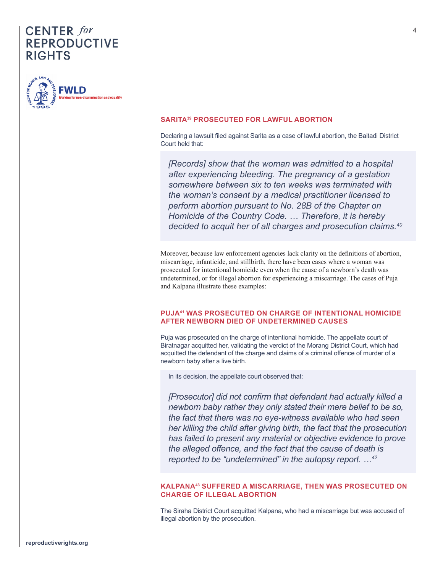

#### **SARITA39 PROSECUTED FOR LAWFUL ABORTION**

Declaring a lawsuit filed against Sarita as a case of lawful abortion, the Baitadi District Court held that:

*[Records] show that the woman was admitted to a hospital after experiencing bleeding. The pregnancy of a gestation somewhere between six to ten weeks was terminated with the woman's consent by a medical practitioner licensed to perform abortion pursuant to No. 28B of the Chapter on Homicide of the Country Code. … Therefore, it is hereby decided to acquit her of all charges and prosecution claims.40*

Moreover, because law enforcement agencies lack clarity on the definitions of abortion, miscarriage, infanticide, and stillbirth, there have been cases where a woman was prosecuted for intentional homicide even when the cause of a newborn's death was undetermined, or for illegal abortion for experiencing a miscarriage. The cases of Puja and Kalpana illustrate these examples:

#### **PUJA41 WAS PROSECUTED ON CHARGE OF INTENTIONAL HOMICIDE AFTER NEWBORN DIED OF UNDETERMINED CAUSES**

Puja was prosecuted on the charge of intentional homicide. The appellate court of Biratnagar acquitted her, validating the verdict of the Morang District Court, which had acquitted the defendant of the charge and claims of a criminal offence of murder of a newborn baby after a live birth.

In its decision, the appellate court observed that:

*[Prosecutor] did not confirm that defendant had actually killed a newborn baby rather they only stated their mere belief to be so, the fact that there was no eye-witness available who had seen her killing the child after giving birth, the fact that the prosecution has failed to present any material or objective evidence to prove the alleged offence, and the fact that the cause of death is reported to be "undetermined" in the autopsy report. …42*

#### **KALPANA43 SUFFERED A MISCARRIAGE, THEN WAS PROSECUTED ON CHARGE OF ILLEGAL ABORTION**

The Siraha District Court acquitted Kalpana, who had a miscarriage but was accused of illegal abortion by the prosecution.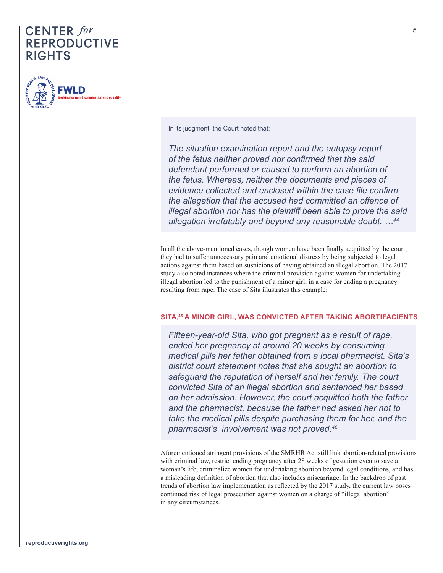

In its judgment, the Court noted that:

*The situation examination report and the autopsy report of the fetus neither proved nor confirmed that the said defendant performed or caused to perform an abortion of the fetus. Whereas, neither the documents and pieces of evidence collected and enclosed within the case file confirm the allegation that the accused had committed an offence of illegal abortion nor has the plaintiff been able to prove the said allegation irrefutably and beyond any reasonable doubt. …44*

In all the above-mentioned cases, though women have been finally acquitted by the court, they had to suffer unnecessary pain and emotional distress by being subjected to legal actions against them based on suspicions of having obtained an illegal abortion. The 2017 study also noted instances where the criminal provision against women for undertaking illegal abortion led to the punishment of a minor girl, in a case for ending a pregnancy resulting from rape. The case of Sita illustrates this example:

#### **SITA,45 A MINOR GIRL, WAS CONVICTED AFTER TAKING ABORTIFACIENTS**

*Fifteen-year-old Sita, who got pregnant as a result of rape, ended her pregnancy at around 20 weeks by consuming medical pills her father obtained from a local pharmacist. Sita's district court statement notes that she sought an abortion to safeguard the reputation of herself and her family. The court convicted Sita of an illegal abortion and sentenced her based on her admission. However, the court acquitted both the father and the pharmacist, because the father had asked her not to take the medical pills despite purchasing them for her, and the pharmacist's involvement was not proved.46*

Aforementioned stringent provisions of the SMRHR Act still link abortion-related provisions with criminal law, restrict ending pregnancy after 28 weeks of gestation even to save a woman's life, criminalize women for undertaking abortion beyond legal conditions, and has a misleading definition of abortion that also includes miscarriage. In the backdrop of past trends of abortion law implementation as reflected by the 2017 study, the current law poses continued risk of legal prosecution against women on a charge of "illegal abortion" in any circumstances.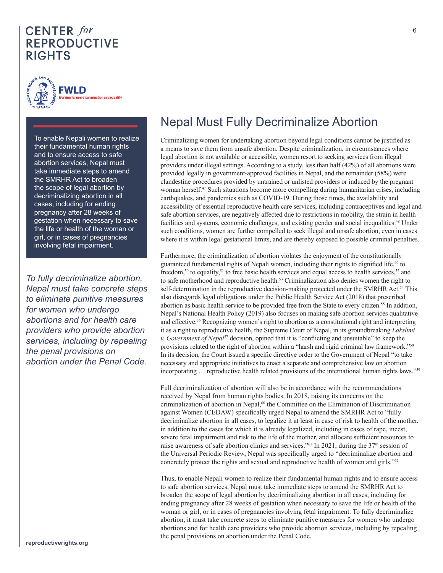

To enable Nepali women to realize their fundamental human rights and to ensure access to safe abortion services, Nepal must take immediate steps to amend the SMRHR Act to broaden the scope of legal abortion by decriminalizing abortion in all cases, including for ending pregnancy after 28 weeks of gestation when necessary to save the life or health of the woman or girl, or in cases of pregnancies involving fetal impairment.

*To fully decriminalize abortion, Nepal must take concrete steps to eliminate punitive measures for women who undergo abortions and for health care providers who provide abortion services, including by repealing the penal provisions on abortion under the Penal Code.*

# Nepal Must Fully Decriminalize Abortion

Criminalizing women for undertaking abortion beyond legal conditions cannot be justified as a means to save them from unsafe abortion. Despite criminalization, in circumstances where legal abortion is not available or accessible, women resort to seeking services from illegal providers under illegal settings. According to a study, less than half (42%) of all abortions were provided legally in government-approved facilities in Nepal, and the remainder (58%) were clandestine procedures provided by untrained or unlisted providers or induced by the pregnant woman herself.47 Such situations become more compelling during humanitarian crises, including earthquakes, and pandemics such as COVID-19. During those times, the availability and accessibility of essential reproductive health care services, including contraceptives and legal and safe abortion services, are negatively affected due to restrictions in mobility, the strain in health facilities and systems, economic challenges, and existing gender and social inequalities.48 Under such conditions, women are further compelled to seek illegal and unsafe abortion, even in cases where it is within legal gestational limits, and are thereby exposed to possible criminal penalties.

Furthermore, the criminalization of abortion violates the enjoyment of the constitutionally guaranteed fundamental rights of Nepali women, including their rights to dignified life,<sup>49</sup> to freedom,<sup>50</sup> to equality,<sup>51</sup> to free basic health services and equal access to health services,<sup>52</sup> and to safe motherhood and reproductive health.<sup>53</sup> Criminalization also denies women the right to self-determination in the reproductive decision-making protected under the SMRHR Act.<sup>54</sup> This also disregards legal obligations under the Public Health Service Act (2018) that prescribed abortion as basic health service to be provided free from the State to every citizen.<sup>55</sup> In addition, Nepal's National Health Policy (2019) also focuses on making safe abortion services qualitative and effective.<sup>56</sup> Recognizing women's right to abortion as a constitutional right and interpreting it as a right to reproductive health, the Supreme Court of Nepal, in its groundbreaking *Lakshmi v. Government of Nepal*<sup>57</sup> decision, opined that it is "conflicting and unsuitable" to keep the provisions related to the right of abortion within a "harsh and rigid criminal law framework."58 In its decision, the Court issued a specific directive order to the Government of Nepal "to take necessary and appropriate initiatives to enact a separate and comprehensive law on abortion incorporating … reproductive health related provisions of the international human rights laws."59

Full decriminalization of abortion will also be in accordance with the recommendations received by Nepal from human rights bodies. In 2018, raising its concerns on the criminalization of abortion in Nepal,<sup>60</sup> the Committee on the Elimination of Discrimination against Women (CEDAW) specifically urged Nepal to amend the SMRHR Act to "fully decriminalize abortion in all cases, to legalize it at least in case of risk to health of the mother, in addition to the cases for which it is already legalized, including in cases of rape, incest, severe fetal impairment and risk to the life of the mother, and allocate sufficient resources to raise awareness of safe abortion clinics and services."<sup>61</sup> In 2021, during the  $37<sup>th</sup>$  session of the Universal Periodic Review, Nepal was specifically urged to "decriminalize abortion and concretely protect the rights and sexual and reproductive health of women and girls."<sup>62</sup>

Thus, to enable Nepali women to realize their fundamental human rights and to ensure access to safe abortion services, Nepal must take immediate steps to amend the SMRHR Act to broaden the scope of legal abortion by decriminalizing abortion in all cases, including for ending pregnancy after 28 weeks of gestation when necessary to save the life or health of the woman or girl, or in cases of pregnancies involving fetal impairment. To fully decriminalize abortion, it must take concrete steps to eliminate punitive measures for women who undergo abortions and for health care providers who provide abortion services, including by repealing the penal provisions on abortion under the Penal Code.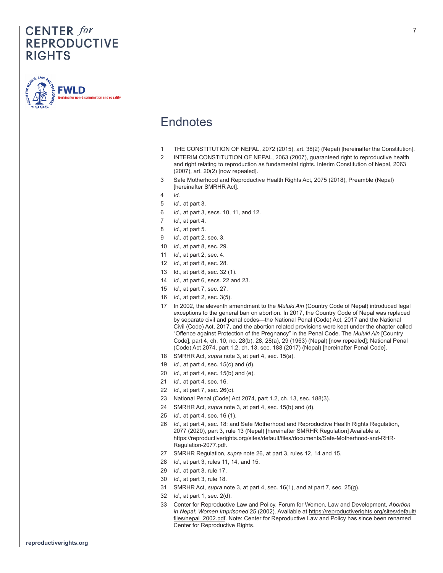

## **Endnotes**

- THE CONSTITUTION OF NEPAL, 2072 (2015), art. 38(2) (Nepal) [hereinafter the Constitution].
- INTERIM CONSTITUTION OF NEPAL, 2063 (2007), guaranteed right to reproductive health and right relating to reproduction as fundamental rights. Interim Constitution of Nepal, 2063 (2007), art. 20(2) [now repealed].
- Safe Motherhood and Reproductive Health Rights Act, 2075 (2018), Preamble (Nepal) [hereinafter SMRHR Act].
- *Id.*
- *Id.,* at part 3.
- *Id.,* at part 3, secs. 10, 11, and 12.
- *Id.,* at part 4.
- *Id.,* at part 5.
- *Id.,* at part 2, sec. 3.
- *Id.,* at part 8, sec. 29.
- *Id.,* at part 2, sec. 4.
- *Id.,* at part 8, sec. 28.
- Id., at part 8, sec. 32 (1).
- *Id.,* at part 6, secs. 22 and 23.
- *Id.,* at part 7, sec. 27.
- *Id.,* at part 2, sec. 3(5).
- In 2002, the eleventh amendment to the *Muluki Ain* (Country Code of Nepal) introduced legal exceptions to the general ban on abortion. In 2017, the Country Code of Nepal was replaced by separate civil and penal codes—the National Penal (Code) Act, 2017 and the National Civil (Code) Act, 2017, and the abortion related provisions were kept under the chapter called "Offence against Protection of the Pregnancy" in the Penal Code. The *Muluki Ain* [Country Code], part 4, ch. 10, no. 28(b), 28, 28(a), 29 (1963) (Nepal) [now repealed]; National Penal (Code) Act 2074, part 1.2, ch. 13, sec. 188 (2017) (Nepal) [hereinafter Penal Code].
- SMRHR Act, *supra* note 3, at part 4, sec. 15(a).
	- *Id.,* at part 4, sec. 15(c) and (d).
	- *Id.,* at part 4, sec. 15(b) and (e).
	- *Id.,* at part 4, sec. 16.
	- *Id.,* at part 7, sec. 26(c).
	- National Penal (Code) Act 2074, part 1.2, ch. 13, sec. 188(3).
	- SMRHR Act, *supra* note 3, at part 4, sec. 15(b) and (d).
	- *Id.,* at part 4, sec. 16 (1).
	- *Id.,* at part 4, sec. 18; and Safe Motherhood and Reproductive Health Rights Regulation, 2077 (2020), part 3, rule 13 (Nepal) [hereinafter SMRHR Regulation] Available at https://reproductiverights.org/sites/default/files/documents/Safe-Motherhood-and-RHR-Regulation-2077.pdf.
	- SMRHR Regulation, *supra* note 26, at part 3, rules 12, 14 and 15.
	- *Id.,* at part 3, rules 11, 14, and 15.
	- *Id.,* at part 3, rule 17.
	- *Id.,* at part 3, rule 18.
	- SMRHR Act, *supra* note 3, at part 4, sec. 16(1), and at part 7, sec. 25(g).
	- *Id.,* at part 1, sec. 2(d).
	- Center for Reproductive Law and Policy, Forum for Women, Law and Development, *Abortion in Nepal: Women Imprisoned* 25 (2002). Available at https://reproductiverights.org/sites/default/ files/nepal\_2002.pdf. Note: Center for Reproductive Law and Policy has since been renamed Center for Reproductive Rights.